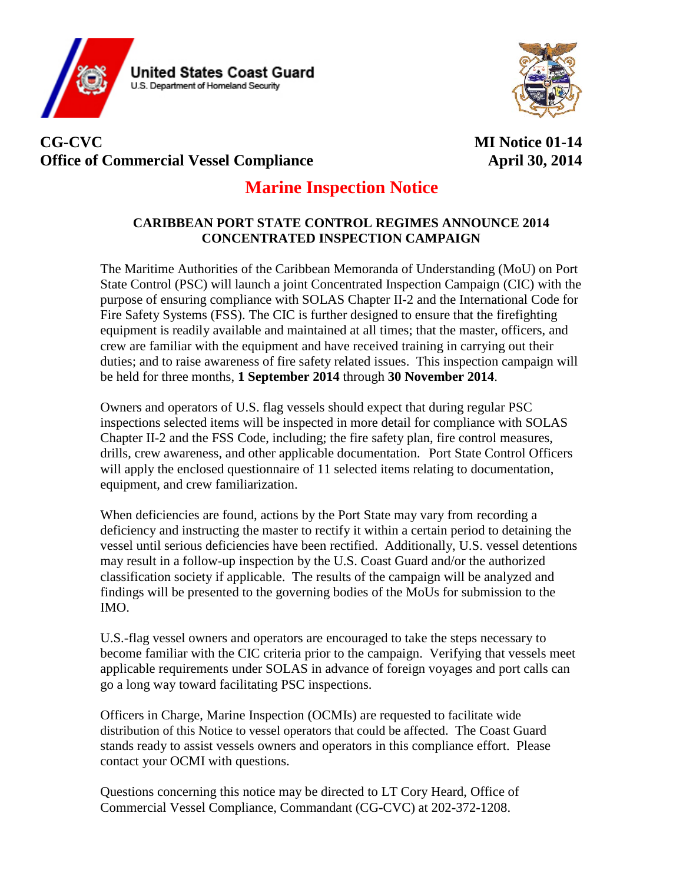



# **CG-CVC MI Notice 01-14 Office of Commercial Vessel Compliance April 30, 2014**

## **Marine Inspection Notice**

## **CARIBBEAN PORT STATE CONTROL REGIMES ANNOUNCE 2014 CONCENTRATED INSPECTION CAMPAIGN**

The Maritime Authorities of the Caribbean Memoranda of Understanding (MoU) on Port State Control (PSC) will launch a joint Concentrated Inspection Campaign (CIC) with the purpose of ensuring compliance with SOLAS Chapter II-2 and the International Code for Fire Safety Systems (FSS). The CIC is further designed to ensure that the firefighting equipment is readily available and maintained at all times; that the master, officers, and crew are familiar with the equipment and have received training in carrying out their duties; and to raise awareness of fire safety related issues. This inspection campaign will be held for three months, **1 September 2014** through **30 November 2014**.

Owners and operators of U.S. flag vessels should expect that during regular PSC inspections selected items will be inspected in more detail for compliance with SOLAS Chapter II-2 and the FSS Code, including; the fire safety plan, fire control measures, drills, crew awareness, and other applicable documentation. Port State Control Officers will apply the enclosed questionnaire of 11 selected items relating to documentation, equipment, and crew familiarization.

When deficiencies are found, actions by the Port State may vary from recording a deficiency and instructing the master to rectify it within a certain period to detaining the vessel until serious deficiencies have been rectified. Additionally, U.S. vessel detentions may result in a follow-up inspection by the U.S. Coast Guard and/or the authorized classification society if applicable. The results of the campaign will be analyzed and findings will be presented to the governing bodies of the MoUs for submission to the IMO.

U.S.-flag vessel owners and operators are encouraged to take the steps necessary to become familiar with the CIC criteria prior to the campaign. Verifying that vessels meet applicable requirements under SOLAS in advance of foreign voyages and port calls can go a long way toward facilitating PSC inspections.

Officers in Charge, Marine Inspection (OCMIs) are requested to facilitate wide distribution of this Notice to vessel operators that could be affected. The Coast Guard stands ready to assist vessels owners and operators in this compliance effort. Please contact your OCMI with questions.

Questions concerning this notice may be directed to LT Cory Heard, Office of Commercial Vessel Compliance, Commandant (CG-CVC) at 202-372-1208.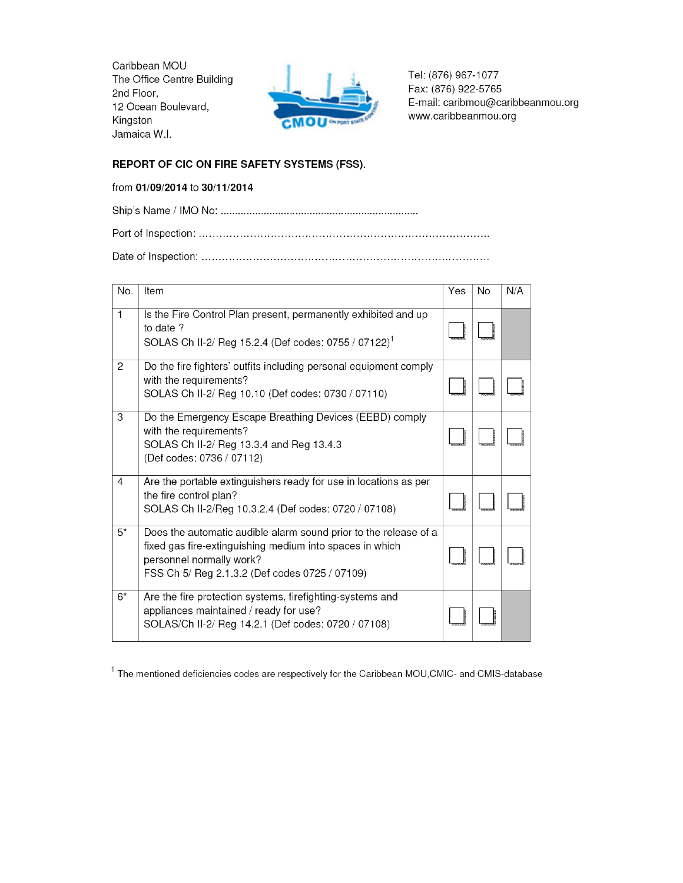Caribbean MOU The Office Centre Building 2nd Floor, 12 Ocean Boulevard, Kingston Jamaica W.I.



Tel: (876) 967-1077 Fax: (876) 922-5765 E-mail: caribmou@caribbeanmou.org www.caribbeanmou.org

### REPORT OF CIC ON FIRE SAFETY SYSTEMS (FSS).

#### from 01/09/2014 to 30/11/2014

| No.   | Item                                                                                                                                                                                                       | Yes | No | N/A |
|-------|------------------------------------------------------------------------------------------------------------------------------------------------------------------------------------------------------------|-----|----|-----|
| 1     | Is the Fire Control Plan present, permanently exhibited and up<br>to date ?<br>SOLAS Ch II-2/ Reg 15.2.4 (Def codes: 0755 / 07122) <sup>1</sup>                                                            |     |    |     |
| 2     | Do the fire fighters' outfits including personal equipment comply<br>with the requirements?<br>SOLAS Ch II-2/ Reg 10.10 (Def codes: 0730 / 07110)                                                          |     |    |     |
| 3     | Do the Emergency Escape Breathing Devices (EEBD) comply<br>with the requirements?<br>SOLAS Ch II-2/ Reg 13.3.4 and Reg 13.4.3<br>(Def codes: 0736 / 07112)                                                 |     |    |     |
| 4     | Are the portable extinguishers ready for use in locations as per<br>the fire control plan?<br>SOLAS Ch II-2/Reg 10.3.2.4 (Def codes: 0720 / 07108)                                                         |     |    |     |
| $5^*$ | Does the automatic audible alarm sound prior to the release of a<br>fixed gas fire-extinguishing medium into spaces in which<br>personnel normally work?<br>FSS Ch 5/ Reg 2.1.3.2 (Def codes 0725 / 07109) |     |    |     |
| $6*$  | Are the fire protection systems, firefighting-systems and<br>appliances maintained / ready for use?<br>SOLAS/Ch II-2/ Reg 14.2.1 (Def codes: 0720 / 07108)                                                 |     |    |     |

<sup>1</sup> The mentioned deficiencies codes are respectively for the Caribbean MOU, CMIC- and CMIS-database